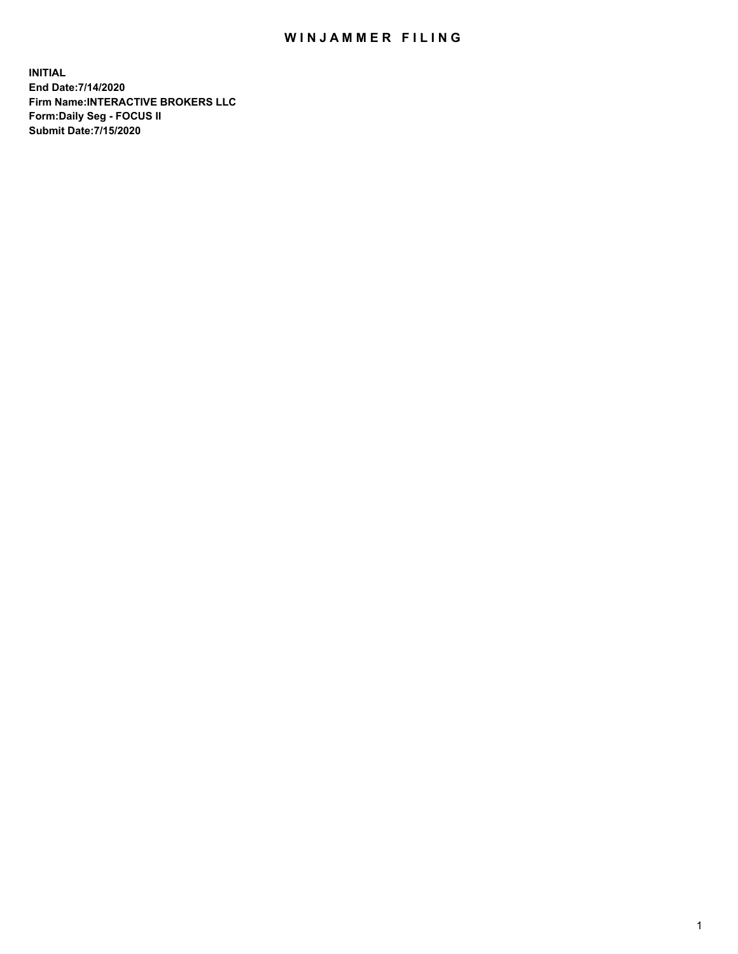## WIN JAMMER FILING

**INITIAL End Date:7/14/2020 Firm Name:INTERACTIVE BROKERS LLC Form:Daily Seg - FOCUS II Submit Date:7/15/2020**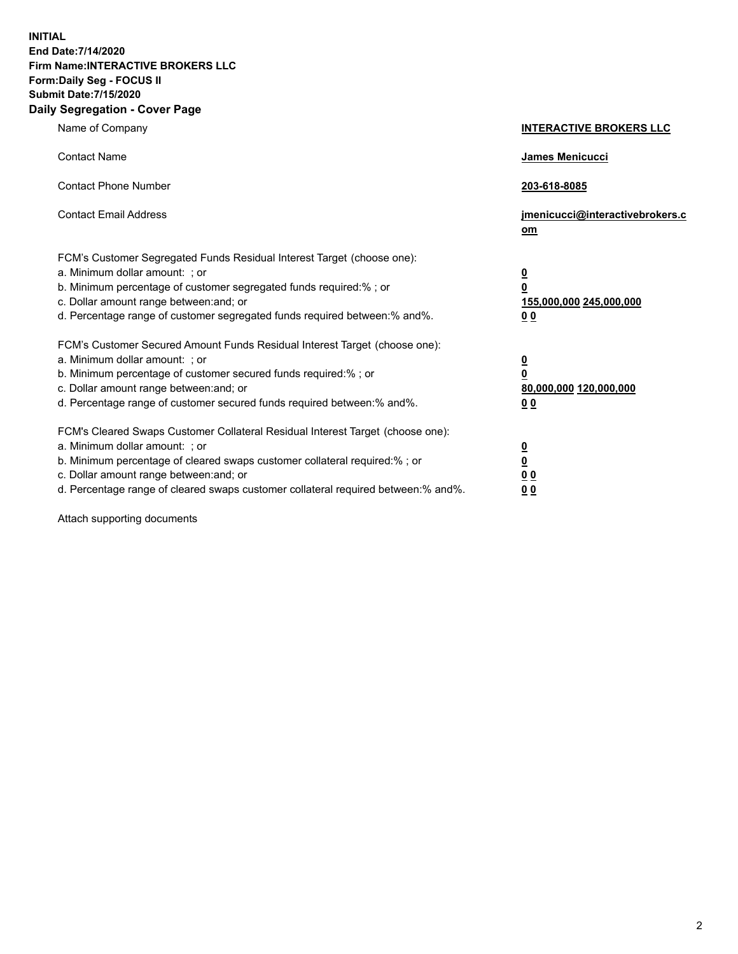**INITIAL End Date:7/14/2020 Firm Name:INTERACTIVE BROKERS LLC Form:Daily Seg - FOCUS II Submit Date:7/15/2020 Daily Segregation - Cover Page**

| Name of Company                                                                                                                                                                                                                                                                                                                | <b>INTERACTIVE BROKERS LLC</b>                                                     |
|--------------------------------------------------------------------------------------------------------------------------------------------------------------------------------------------------------------------------------------------------------------------------------------------------------------------------------|------------------------------------------------------------------------------------|
| <b>Contact Name</b>                                                                                                                                                                                                                                                                                                            | James Menicucci                                                                    |
| <b>Contact Phone Number</b>                                                                                                                                                                                                                                                                                                    | 203-618-8085                                                                       |
| <b>Contact Email Address</b>                                                                                                                                                                                                                                                                                                   | jmenicucci@interactivebrokers.c<br>om                                              |
| FCM's Customer Segregated Funds Residual Interest Target (choose one):<br>a. Minimum dollar amount: ; or<br>b. Minimum percentage of customer segregated funds required:% ; or<br>c. Dollar amount range between: and; or<br>d. Percentage range of customer segregated funds required between:% and%.                         | $\overline{\mathbf{0}}$<br>$\pmb{0}$<br>155,000,000 245,000,000<br>0 <sub>0</sub>  |
| FCM's Customer Secured Amount Funds Residual Interest Target (choose one):<br>a. Minimum dollar amount: ; or<br>b. Minimum percentage of customer secured funds required:% ; or<br>c. Dollar amount range between: and; or<br>d. Percentage range of customer secured funds required between:% and%.                           | $\overline{\mathbf{0}}$<br>$\overline{\mathbf{0}}$<br>80,000,000 120,000,000<br>00 |
| FCM's Cleared Swaps Customer Collateral Residual Interest Target (choose one):<br>a. Minimum dollar amount: ; or<br>b. Minimum percentage of cleared swaps customer collateral required:% ; or<br>c. Dollar amount range between: and; or<br>d. Percentage range of cleared swaps customer collateral required between:% and%. | $\frac{0}{0}$<br>0 <sub>0</sub><br>0 <sub>0</sub>                                  |

Attach supporting documents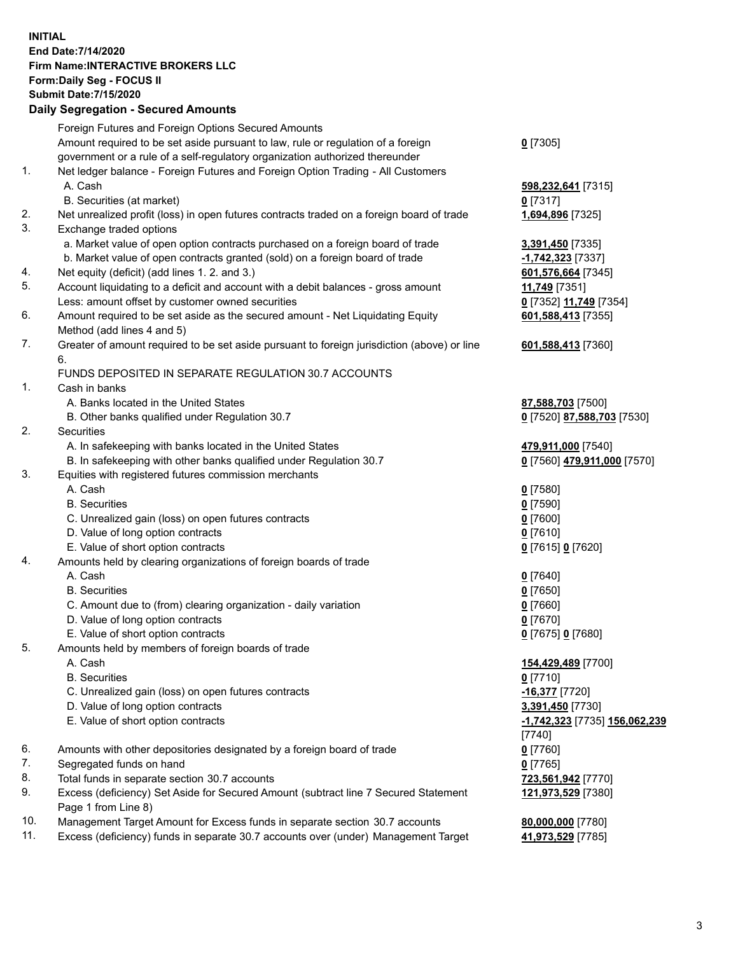**INITIAL End Date:7/14/2020 Firm Name:INTERACTIVE BROKERS LLC Form:Daily Seg - FOCUS II Submit Date:7/15/2020 Daily Segregation - Secured Amounts**

|     | Daily Jegregation - Jeculed Aniounts                                                        |                               |
|-----|---------------------------------------------------------------------------------------------|-------------------------------|
|     | Foreign Futures and Foreign Options Secured Amounts                                         |                               |
|     | Amount required to be set aside pursuant to law, rule or regulation of a foreign            | $0$ [7305]                    |
|     | government or a rule of a self-regulatory organization authorized thereunder                |                               |
| 1.  | Net ledger balance - Foreign Futures and Foreign Option Trading - All Customers             |                               |
|     | A. Cash                                                                                     | 598,232,641 [7315]            |
|     | B. Securities (at market)                                                                   | $0$ [7317]                    |
| 2.  | Net unrealized profit (loss) in open futures contracts traded on a foreign board of trade   | 1,694,896 [7325]              |
| 3.  | Exchange traded options                                                                     |                               |
|     | a. Market value of open option contracts purchased on a foreign board of trade              | 3,391,450 [7335]              |
|     | b. Market value of open contracts granted (sold) on a foreign board of trade                | -1,742,323 [7337]             |
| 4.  | Net equity (deficit) (add lines 1. 2. and 3.)                                               | 601,576,664 [7345]            |
| 5.  | Account liquidating to a deficit and account with a debit balances - gross amount           | 11,749 [7351]                 |
|     | Less: amount offset by customer owned securities                                            | 0 [7352] 11,749 [7354]        |
| 6.  | Amount required to be set aside as the secured amount - Net Liquidating Equity              | 601,588,413 [7355]            |
|     | Method (add lines 4 and 5)                                                                  |                               |
| 7.  | Greater of amount required to be set aside pursuant to foreign jurisdiction (above) or line | 601,588,413 [7360]            |
|     | 6.                                                                                          |                               |
|     | FUNDS DEPOSITED IN SEPARATE REGULATION 30.7 ACCOUNTS                                        |                               |
| 1.  | Cash in banks                                                                               |                               |
|     | A. Banks located in the United States                                                       | 87,588,703 [7500]             |
|     | B. Other banks qualified under Regulation 30.7                                              | 0 [7520] 87,588,703 [7530]    |
| 2.  | Securities                                                                                  |                               |
|     | A. In safekeeping with banks located in the United States                                   | 479,911,000 [7540]            |
|     | B. In safekeeping with other banks qualified under Regulation 30.7                          | 0 [7560] 479,911,000 [7570]   |
| 3.  | Equities with registered futures commission merchants                                       |                               |
|     | A. Cash                                                                                     | $0$ [7580]                    |
|     | <b>B.</b> Securities                                                                        | $0$ [7590]                    |
|     | C. Unrealized gain (loss) on open futures contracts                                         | $0$ [7600]                    |
|     | D. Value of long option contracts                                                           | $0$ [7610]                    |
|     | E. Value of short option contracts                                                          | 0 [7615] 0 [7620]             |
| 4.  | Amounts held by clearing organizations of foreign boards of trade                           |                               |
|     | A. Cash                                                                                     | $0$ [7640]                    |
|     | <b>B.</b> Securities                                                                        | $0$ [7650]                    |
|     | C. Amount due to (from) clearing organization - daily variation                             | $0$ [7660]                    |
|     | D. Value of long option contracts                                                           | $0$ [7670]                    |
|     | E. Value of short option contracts                                                          | 0 [7675] 0 [7680]             |
| 5.  | Amounts held by members of foreign boards of trade                                          |                               |
|     | A. Cash                                                                                     | 154,429,489 [7700]            |
|     | <b>B.</b> Securities                                                                        | $0$ [7710]                    |
|     | C. Unrealized gain (loss) on open futures contracts                                         | $-16,377$ [7720]              |
|     | D. Value of long option contracts                                                           | 3,391,450 [7730]              |
|     | E. Value of short option contracts                                                          | -1,742,323 [7735] 156,062,239 |
|     |                                                                                             | [7740]                        |
| 6.  | Amounts with other depositories designated by a foreign board of trade                      | $0$ [7760]                    |
| 7.  | Segregated funds on hand                                                                    | $0$ [7765]                    |
| 8.  | Total funds in separate section 30.7 accounts                                               | 723,561,942 [7770]            |
| 9.  | Excess (deficiency) Set Aside for Secured Amount (subtract line 7 Secured Statement         | 121,973,529 [7380]            |
|     | Page 1 from Line 8)                                                                         |                               |
| 10. | Management Target Amount for Excess funds in separate section 30.7 accounts                 | 80,000,000 [7780]             |
| 11. | Excess (deficiency) funds in separate 30.7 accounts over (under) Management Target          | 41,973,529 [7785]             |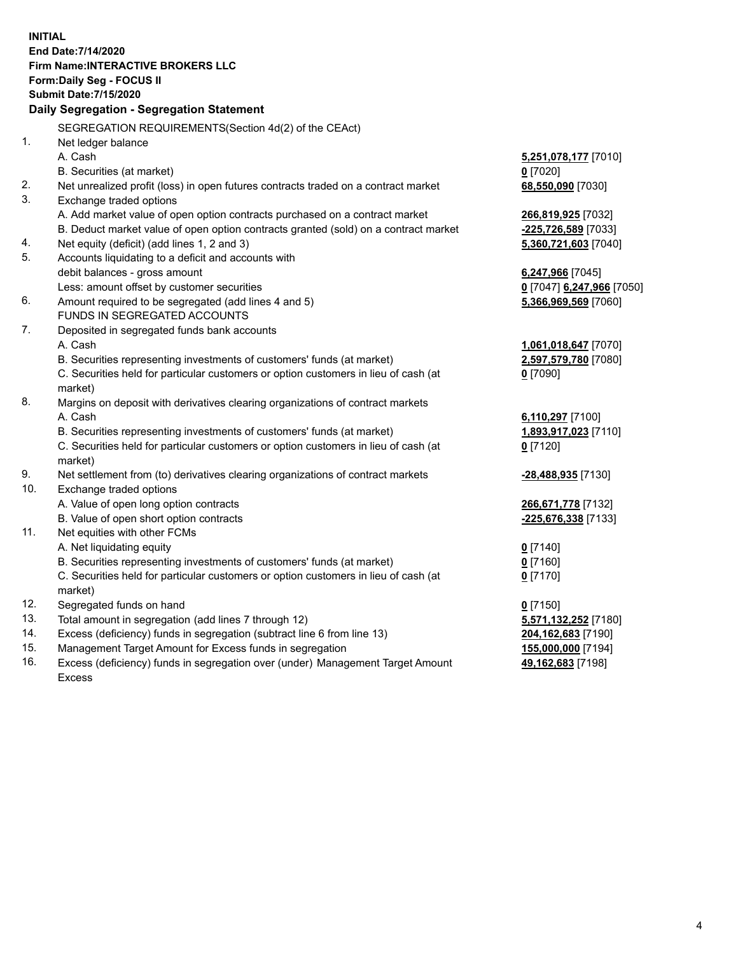**INITIAL End Date:7/14/2020 Firm Name:INTERACTIVE BROKERS LLC Form:Daily Seg - FOCUS II Submit Date:7/15/2020 Daily Segregation - Segregation Statement** SEGREGATION REQUIREMENTS(Section 4d(2) of the CEAct) 1. Net ledger balance A. Cash **5,251,078,177** [7010] B. Securities (at market) **0** [7020] 2. Net unrealized profit (loss) in open futures contracts traded on a contract market **68,550,090** [7030] 3. Exchange traded options A. Add market value of open option contracts purchased on a contract market **266,819,925** [7032] B. Deduct market value of open option contracts granted (sold) on a contract market **-225,726,589** [7033] 4. Net equity (deficit) (add lines 1, 2 and 3) **5,360,721,603** [7040] 5. Accounts liquidating to a deficit and accounts with debit balances - gross amount **6,247,966** [7045] Less: amount offset by customer securities **0** [7047] **6,247,966** [7050] 6. Amount required to be segregated (add lines 4 and 5) **5,366,969,569** [7060] FUNDS IN SEGREGATED ACCOUNTS 7. Deposited in segregated funds bank accounts A. Cash **1,061,018,647** [7070] B. Securities representing investments of customers' funds (at market) **2,597,579,780** [7080] C. Securities held for particular customers or option customers in lieu of cash (at market) **0** [7090] 8. Margins on deposit with derivatives clearing organizations of contract markets A. Cash **6,110,297** [7100] B. Securities representing investments of customers' funds (at market) **1,893,917,023** [7110] C. Securities held for particular customers or option customers in lieu of cash (at market) **0** [7120] 9. Net settlement from (to) derivatives clearing organizations of contract markets **-28,488,935** [7130] 10. Exchange traded options A. Value of open long option contracts **266,671,778** [7132] B. Value of open short option contracts **-225,676,338** [7133] 11. Net equities with other FCMs A. Net liquidating equity **0** [7140] B. Securities representing investments of customers' funds (at market) **0** [7160] C. Securities held for particular customers or option customers in lieu of cash (at market) **0** [7170] 12. Segregated funds on hand **0** [7150] 13. Total amount in segregation (add lines 7 through 12) **5,571,132,252** [7180] 14. Excess (deficiency) funds in segregation (subtract line 6 from line 13) **204,162,683** [7190] 15. Management Target Amount for Excess funds in segregation **155,000,000** [7194] **49,162,683** [7198]

16. Excess (deficiency) funds in segregation over (under) Management Target Amount Excess